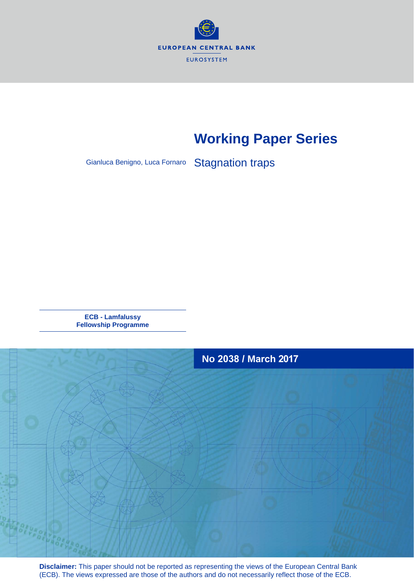

# **Working Paper Series**

Gianluca Benigno, Luca Fornaro Stagnation traps

**ECB - Lamfalussy Fellowship Programme**



**Disclaimer:** This paper should not be reported as representing the views of the European Central Bank (ECB). The views expressed are those of the authors and do not necessarily reflect those of the ECB.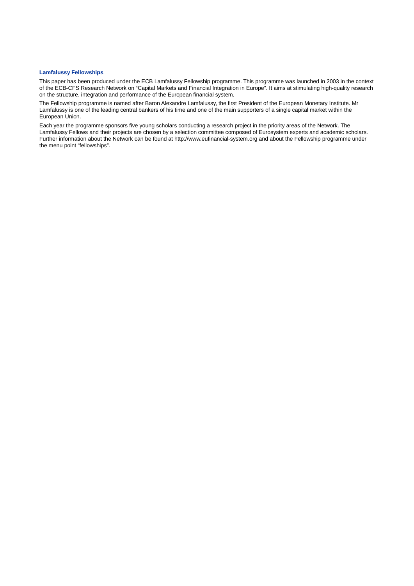## **Lamfalussy Fellowships**

This paper has been produced under the ECB Lamfalussy Fellowship programme. This programme was launched in 2003 in the context of the ECB-CFS Research Network on "Capital Markets and Financial Integration in Europe". It aims at stimulating high-quality research on the structure, integration and performance of the European financial system.

The Fellowship programme is named after Baron Alexandre Lamfalussy, the first President of the European Monetary Institute. Mr Lamfalussy is one of the leading central bankers of his time and one of the main supporters of a single capital market within the European Union.

Each year the programme sponsors five young scholars conducting a research project in the priority areas of the Network. The Lamfalussy Fellows and their projects are chosen by a selection committee composed of Eurosystem experts and academic scholars. Further information about the Network can be found at http://www.eufinancial-system.org and about the Fellowship programme under the menu point "fellowships".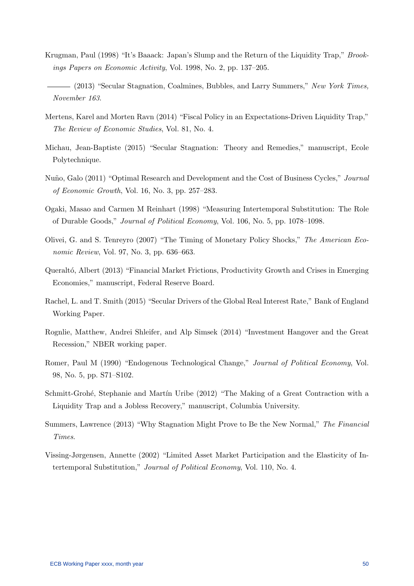- Krugman, Paul (1998) "It's Baaack: Japan's Slump and the Return of the Liquidity Trap," Brookings Papers on Economic Activity, Vol. 1998, No. 2, pp. 137–205.
- (2013) "Secular Stagnation, Coalmines, Bubbles, and Larry Summers," New York Times, November 163.
- Mertens, Karel and Morten Ravn (2014) "Fiscal Policy in an Expectations-Driven Liquidity Trap," The Review of Economic Studies, Vol. 81, No. 4.
- Michau, Jean-Baptiste (2015) "Secular Stagnation: Theory and Remedies," manuscript, Ecole Polytechnique.
- Nuño, Galo (2011) "Optimal Research and Development and the Cost of Business Cycles," Journal of Economic Growth, Vol. 16, No. 3, pp. 257–283.
- Ogaki, Masao and Carmen M Reinhart (1998) "Measuring Intertemporal Substitution: The Role of Durable Goods," Journal of Political Economy, Vol. 106, No. 5, pp. 1078–1098.
- Olivei, G. and S. Tenreyro (2007) "The Timing of Monetary Policy Shocks," The American Economic Review, Vol. 97, No. 3, pp. 636–663.
- Queraltó, Albert (2013) "Financial Market Frictions, Productivity Growth and Crises in Emerging Economies," manuscript, Federal Reserve Board.
- Rachel, L. and T. Smith (2015) "Secular Drivers of the Global Real Interest Rate," Bank of England Working Paper.
- Rognlie, Matthew, Andrei Shleifer, and Alp Simsek (2014) "Investment Hangover and the Great Recession," NBER working paper.
- Romer, Paul M (1990) "Endogenous Technological Change," Journal of Political Economy, Vol. 98, No. 5, pp. S71–S102.
- Schmitt-Grohé, Stephanie and Martín Uribe (2012) "The Making of a Great Contraction with a Liquidity Trap and a Jobless Recovery," manuscript, Columbia University.
- Summers, Lawrence (2013) "Why Stagnation Might Prove to Be the New Normal," The Financial Times.
- Vissing-Jørgensen, Annette (2002) "Limited Asset Market Participation and the Elasticity of Intertemporal Substitution," Journal of Political Economy, Vol. 110, No. 4.